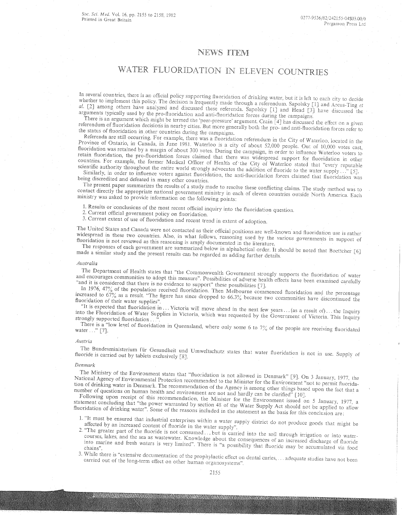# NEWS ITEM

# WATER FLUORIDATION IN ELEVEN COUNTRIES

In several countries, there is an official policy supporting fluoridation of drinking water, but it is left to each city to decide whether to implement this policy. The decision is frequently made through a referendum. Sapolsky  $[1]$  and Arcus-Ting  $et$ *al.* [2] among others have analyzed and discussed these referenda. Sapolsky [1] and Head [3] have discussed the arguments typically used by the pro-fluoridation and anti-fluoridation forces during the campaigns.

I here is an argument which might be termed the 'peer-pressure' argument. Crain [4] has discussed the effect on a<br>erendum of fluoridation decisions in needs with 0. referendum of fluoridation decisions in nearby cities. But more generally both the pro- and anti-fluoridation forces refer to<br>the status of fluoridation in other countries during the sec the status of fluoridation in other countries during the campaigns.

Referenda are still occurring. For example, there was a fluoridation referendum in the City of Waterloo, located in the Province of Ontario, in Canada, in June 1981. Waterloo is a city of about 52,000 people. Out of 10,000 votes cast, fluoridation was retained by a margin of about 300 votes. During the campaign, in order to influence Waterloo voters to retain fluoridation, the pro-fluoridation forces claimed that there was widespread support for fluoridation in other countries. For example, the former Medical Officer of Health of the City of Waterloo stated that "every reputable scientific authority throughout the entire world strongly advocates the addition of fluoride to the water supply..." [5].

Similarly, in order to influence voters against fluoridation, the anti-fluoridation forces claimed that fluoridation was being discredited and defeated in many other countries.

The present paper summarizes the results of a study made to resolve these conflicting claims. The study method was<br>ntact directly the appropriate periods issued contact directly the appropriate national government ministry in each of eleven countries North America. ministry was asked to provide information on the following points:

1. Results or conclusions of the most recent official inquiry into the fluoridation question.

2. Current official government policy on fluoridation.

3. Current extent of use of fluoridation and recent trend in extent of adoption.

The United States and Canada were not contacted as their official positions are well-known and fluoridation use is rather widespread in these two countries. Also, in what follows, reasoning used by the various governments in support of fluoridation is not reviewed as this reasoning is amply documented in the literature.

The responses of each government are summarized below in alphabetical order. It should be noted that Boettcher [6] made a similar study and the present results can be regarded as adding further details.

# *Australia*

The Department of Health states that "the Commonwealth Government strongly supports the fluoridation of water and encourages communities to adopt this measure". Possibilities of adverse health effects have been examined carefully and it is considered that there is no evidence to support" these possibilities [7].

In 1976, 47% of the population received fluoridation. Then Melbourne commenced fluoridation and the percentage increased to  $67\%$  as a result. "The figure has since dropped to  $66.3\%$  because two communities have discontinued the fluoridation of their water supplies".

"It is expected that fluoridation in ... Victoria will move ahead in the next few years ... (as a result of)... the Inquiry into the Fluoridation of Water Supplies in Victoria, which was requested by the Government of Victoria. This Inquir<br>strongly supported fluoridation ...".

There is a "low level of fluoridation in Queensland, where only some 6 to 7% of the people are receiving fluoridated water..." [7].

#### *Austria*

The Bundesministerium fiir Gesundheit und Umweltschutz states that water nuoridation is not in use. fluoride is carried out by tablets exclusively [8]. of

# *Denmark*

The Ministry of the Environment states that "fluoridation is not allowed in Denmark" [9]. On 3 January, 1977, the National Agency of Environmental Protection recommended to the Minister for the Environment "not to permit fluoridation of drinking water in Denmark. The recommendation of the Agency is among other things based upon the fact that a number of questions on human health and environment are not and hardly can be clarified" [10].

Information of drinking water". Some of the reasons included in the statement as the basis for this conclusion are Following upon receipt of this recommendation, the Minister for the Environment issued on 5 January, 1977, a<br>tement concluding that "the nower warranted by sortion 48 of d. W. statement concluding that "the power warranted by section 48 of the Water Supply Act should not be applied to allow<br>fluoridation of drinking water" Some of the reasons included in the Water Supply Act should not be applied

- 1. "It must be ensured that industrial enterprises within a water supply district do not produce goods that might be affected by an increased content of Iluoride in the water supply".
- 2. The greater part of the fluoride is not consumed...but is carried into the soil through irrigation or into water<br>Courses, lakes and the sea as wastawater Knowled: courses, lakes, and the sea as wastewater. Knowledge about the consequences of an increased discharge of fluorid<br>into marine and fresh waters is very limited. There is it is not the consequences of an increased discharge o mto marine and fresh waters is very limited". There is "a possibility that fluoride may be accumulated via food
- 3. While there is "extensive documentation of the prophylactic effect on dental caries, ... adequate studies have not been carried out of the long-term effect on other human organosystems".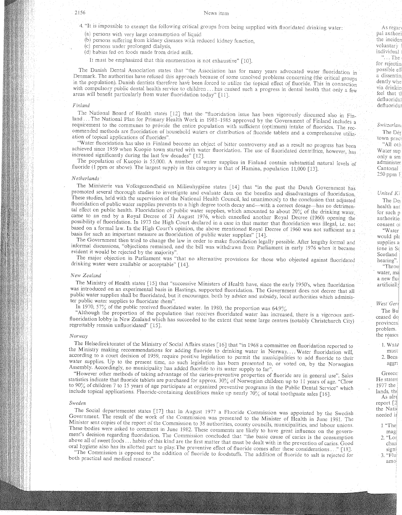4. "It is impossible to exempt the following critical groups from being supplied with fluoridated drinking water

(a) persons with very large consumption of liquid

(b) persons suffering from kidney diseases with reduced kidney function,

(c) persons under prolonged dialysis,

(d) babies fed on foods made from dried milk.

It must be emphasized that this enumeration is not exhaustive" [10].

The Danish Dental Association states that "the Association has for many years advocated water fluoridation in Denmark. The authorities have refused this approach because of some unsolved problems concerning (thi in the population). Danish dentists therefore have been forced to utilize the topical effect of fluoride. This in connectio with compulsory public dental health service to children ... has caused such a progress in dental health that only a few areas will benefit particularly from water fluoridation today" [11]

# *Finland*

The National Board of Health states [12] that the "fluoridation issue has been vigorously discussed also in Finland ... The National Plan for Primary Health Work in 1981–1985 approved by the Government of Finland includes a requirement to the communes to provide the entire population with sufficient (optimum) intake of fluorides. The recommended methods are fluoridation of household waters or distribution of fluoride tablets and a comprehensive utilization of topical applications of fluorides".

"Water fluoridation has 'also in Finland become an object of bitter controversy and as a result no achieved since 1959 when Kuopio town started with water fluoridation. The use of fluoridated dentrifrice, however, has increased significantly during the last few decades" [12].

The population of Kuopio is 55,000. A number of water supplies in Finland contain substantial natural levels of fluoride (1 ppm or above). The largest supply in this category is that of Hamina, population 11,000 [13]

#### *Nether lands*

The Ministerie van Volksgezondheid en Milieuhygiëne states [14] that "in the past the Dutch Government has promoted several thorough studies to investigate and evaluate data on the benefits and disadvantages of fluoridation. These studies, held with the supervision of the National Health Council, led unanimously to the conclusion that adjusted fluoridation of public water supplies prevents to a high degree tooth decay and--with a correct dosage-has no detrimental effect on public health. Fluoridation of public water supplies, which amounted to about 20% of the drinking water, came to an end by a Royal Decree of 31 August 1976, which cancelled another Royal Decree (1960) opening the possibility of fluoridation. In 1973 the High Court declared in a case in that matter that fluoridation was illegal, i.e. not based on a formal law. In the High Court's opinion, the above mentioned Royal Decree of 1960 was not sufficient as a basis for such an important measure as fluoridation of public water supplies" [14].

The Government then tried to change the law in order to make fluoridation legally possible. After lengthy formal and informal discussions, "Objections remained, and the bill was withdrawn from Parliament in early 1976 evident it would be rejected by the majority".

The major objection in Parliament was "that no alternative provisions for those who objected against fluoridated drinking water were available or acceptable" [14].

#### *New Zealand*

The Ministry of Health states [15] that "successive Ministers of Health have, since the early 1950's, when fluoridation was introduced on an experimental basis in Hastings, supported fluoridation. The Government does not decree that all public water supplies shall be fluoridated, but it encourages, both by advice and subsidy, local authorities which administer public water supplies to fluoridate them".

In 1970, 57% of the public received fluoridated water. In 1980, the proportion was 64.9%.

"Although the proportion of the population that receives fluoridated water has increased, there is a vigorous antifluoridation lobby in New Zealand which has succeeded to the extent that some large centres (notably Christchurch City) regrettably remain unfluoridated" [15].

#### *Norway*

The Helsedirektoratet of the Ministry of Social Affairs states [16J that "in 1968 a committee on fluoridation reported to the Ministry making recommendations for adding fluoride to drinking water in Norway ... Water fluoridation will, according to a court decision of 1959, require positive legislation to permit the municipalities to add fluoride to their water supplies. Up to the present time, no such legislation has been presented to, or voted on, by the Norwegian Assembly. Accordingly, no municipality has added fluoride to its water supply to far".

"However other methods of taking advantage of the caries-preventive properties of fluoride are in general use". Sales statistics indicate that fluoride tablets are purchased for approx. 30% of Norwegian children up to 11 years of age. "Close to 90% of children 7 to 15 years of age participate at organized preventive programs in the Public Dental Service" which include topical applications. Fluoride-containing dentifrices make up nearly 70% of total toothpaste sales [16].

#### *Sweden*

The Social departementet states [17J that in August 1977 a Fluoride Commission was appointed by the Swedish Government. The result of the work of the Commission was presented to the Minister of Health in June 1981. The Minister sent copies of the report of the Commission to 38 authorities, county councils, municipalities, and labour unions. These bodies were asked to comment in June 1982. These comments are likely to have great influence on the government's decision regarding fluoridation. The Commission concluded that "the basic cause of caries is the consumption above all of sweet foods ... habits of this kind are the first matter that must be dealt with in the prevention of caries. Good oral hygiene also has its allotted part to play. The preventive effect of fluoride comes after these considerations ..." [18].

"The Commission is opposed to the addition of fluoride to foodstuffs. The addition of fluoride to salt is rejected for both practical and medical reasons".

As regar pal authori the incider voluntary **individual!**

 $\cdot$   $\cdot$  **The** for rejectin possible eff a dissentin dently whe via drinkin feel that tl<br>defluoridat defluoridat

*Switzer/ani*

The Dér town "All oth

**Water sup** only a sm administer Cantonal 250 ppm

*United*

The De<sub>l</sub><br>health aut for such p authoritie. **consent** oj

*Wate* would pIc supplies a (one in Sc Scotland hearing" "Throu

water, ma a new flue artificially

West Geri The Bu ceased do provinces: problem. the reasor 1. Waté

> **aggr; must** 2. Beca

Greece: He states 1977 the lands, the As alre report [2]

the Nati needed if 1 "The magi 2. "Lor chan signi 3. "Flu amo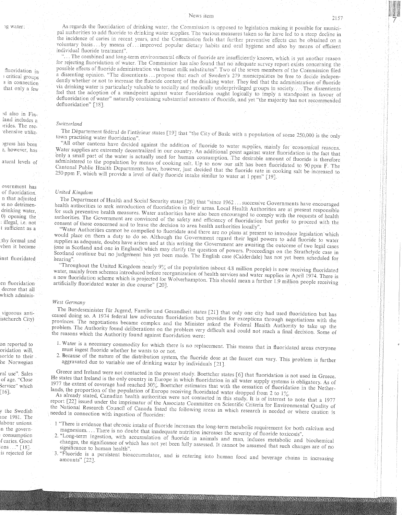**19 water:**

fluoridation in , critical groups s in connection that only a few

,d also in Finland includes a 'rides. The rec- 'ehensive utiliz\_

)grcss has e, however, has

atural levels of

overnment has of fluoridation. n that 1s no detrimendrinking water, 0) opening the : illegal, i.e. not t sufficient as a

;thy formal and vhen it became

inst fluoridated

en fluoridation decree that all which adminis-

vigorous antiistchurch City)

on reported to oridation will, loride to their hc Norwegian

ral use". Sales of age. "Close Service" which [ 16].

<sup>y</sup> the Swedish me 1981. The labour unions. 'n the governconsumption if caries. Good  $\cos \ldots$ " [18]. is rejected for

News item

As regards the fluoridation of drinking water, the Commission is opposed to legislation making it possible for munic pal authorities to add fluoride to drinking water supplies. The various measures taken so far have led to a steep decline in the incidence of caries in recent years, and the Commission feels that further preventive effects can be obtained on a voluntary basis ... by means of ... improved popular dietary habits and oral hygiene and also by means of efficien individual fluoride treatment",

"... The combined and long-term environmental effects of fluoride are insufficiently known, which is yet another reason for rejecting fluoridation of water. The Commission has also found that no adequate survey report exists concerning the possible effects of fluoride administration via breast milk substitutes". Two of the seven members of the Commission filed a dissenting opinion. "The dissentients...propose that each of Sweden's 279 municipalities be free to decide independently whether or not to increase the fluoride content of the drinking water. They feel that the administration of fluoride via drinking water is particularly valuable to socially and medically underprivileged groups in society.... The dissentients feel that the adoption of a standpoint against water fluoridation ought logically to imply a standpoint in favour of defluoridation of water" naturally containing substantial amounts of fluoride, and yet "the majority has not recommended defluoridation" [18].

# *Switzerland*

The Département fédéral de l'intérieur states [19] that "the City of Basle with a population of some 250,000 is the only town practising water fluoridation".

"All other cantons have decided against the addition of fluoride to water supplies, mainly for economical reasons. Water supplies are extremely decentralized in our country. An additional point against water fluoridation is the fact that bnly a small part of the water is actually used for human consumption. The desirable amount of fluoride is therefore administered to the population by means of cooking salt. Up to now our salt has been fluoridated to 90 ppm F. The Cantonal Public Health Departments have, however, just decided that the fluoride rate in cooking salt be increased to 250 ppm F, which will provide a level of daily fluoride intake similar to water at 1 ppm" [19].

# *United Kingdom*

The Department of Health and Social Security states [20] that "since 1962 ... successive Governments have encouraged health authorities to seek introduction of fluoridation in their areas. Local Health Authorities are at present responsible for such preventive health measures. Water authorities have also been encouraged to comply with the requests of health authorities. The Government are convinced of the safety and efficiency of fluoridation but prefer to proceed with the consent of those concerned and to leave the decision to area health authorities locally".

"Water Authorities cannot be compelled to fluoridate and there are no plans at present to introduce legislation which would place on them a duty to do so. Although the Government regard their legal powers to add fluoride to water supplies as adequate, doubts have arisen and at this writing the Government are awaiting the outcome of two legal cases (one in Scotland and one in England) which may clarify the question of powers. Proceedings on the Strathclyde case in Scotland continue but no judgement has yet been made. The English case (Calderdale) has not yet been schedule<br>hearing".

Throughout the United Kingdom nearly  $9\%$  of the population (about 4.8 million people) is now receiving fluoridated water, mainly from schemes introduced before reorganization of health services and water supplies in April 1974. There is a new fluoridation scheme which is projected for Wolverhampton. This should mean a further 1.9 million people receiving artificially fluoridated water in due course" [20].

# *West Germany*

Alexander Russ Schungen

The Bundesminister fur Jugend, Familie und Gesundheit states [21] that only one city had used fluoridation but has ceased doing so. A 1974 federal law advocates fluoridation but provides for exceptions through negotiations with the provinces. The negotiations became complex and the Minister asked the Federal Health Authority to take up the problem. The Authority found deliberations on the problem very difficult and could not reach a final decision. Some of the reasons which the Authority found against fluoridation were:

- 1. Water is a necessary commodity for which there is no replacement. This means that in fluoridated areas everyone must ingest fluoride whether he wants to or not.
- 2. Because of the nature of the distribution system, the fluoride dose at the faucet can vary. This problem is further aggravated due to variable use of drinking water by individuals [21].

Greece and Ireland were not contacted in the present study. Boettcher states [6] that fluoridation is not used in Greece. He states that Ireland is the only country in Europe in which fluoridation in all water supply systems is obligatory. As of 1977 the extent of coverage had reached 30%. Boettcher estimates that with the cessation of fluoridation in the Netherlands, the proportion of the population of Europe receiving fluoridated water dropped from 2 to 1%.

As already stated, Canadian health authorities were not contacted in this study. It is of interest to note that a 1977 report [22] issued under the imprimatur of the Associate Committee on Scientific Criteria for Environmental Quality of the National Research Council of Canada listed the following areas in which research is needed or where caution is needed in connection with ingestion of fluorides:

- 1 "There is evidence that chronic intake of fluoride iucreases the long-term metabolic requirement for both calcium and magnesium.... There is no doubt that inadequate nutrition increases the severity of fluoride toxicosis".
- 2. "Long-term ingestion, with accumulation of fluoride in animals and man, induces metabolic and biochemical changes, the significance of which has not yet been fully assessed. It cannot be assumed that such changes are of no significance to human health".
- 3. "Fluoride is a persistent bioaccumulator, and is entering into human food and beverage chains in increasing amounts" [22].

a de la constitución de la constitución de la constitución de la constitución de la constitución de la constit